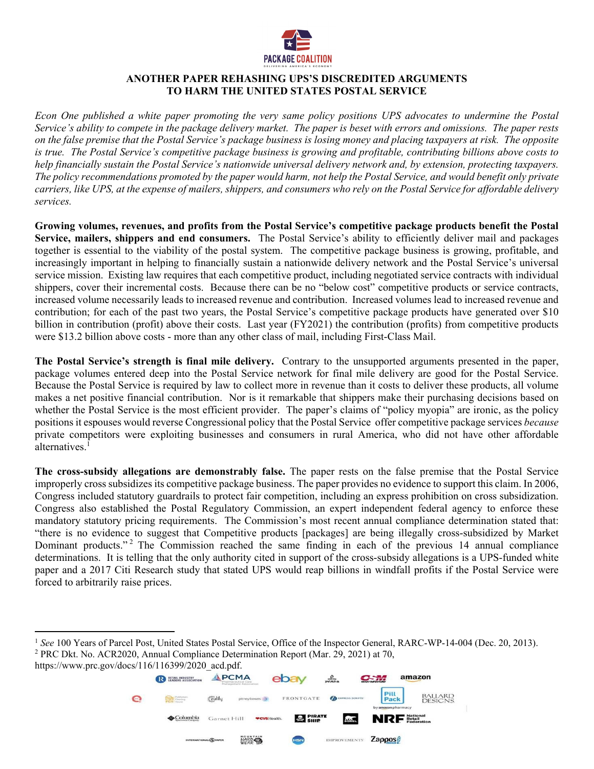

## **ANOTHER PAPER REHASHING UPS'S DISCREDITED ARGUMENTS TO HARM THE UNITED STATES POSTAL SERVICE**

*Econ One published a white paper promoting the very same policy positions UPS advocates to undermine the Postal Service's ability to compete in the package delivery market. The paper is beset with errors and omissions. The paper rests on the false premise that the Postal Service's package business is losing money and placing taxpayers at risk. The opposite is true. The Postal Service's competitive package business is growing and profitable, contributing billions above costs to help financially sustain the Postal Service's nationwide universal delivery network and, by extension, protecting taxpayers. The policy recommendations promoted by the paper would harm, not help the Postal Service, and would benefit only private carriers, like UPS, at the expense of mailers, shippers, and consumers who rely on the Postal Service for affordable delivery services.* 

**Growing volumes, revenues, and profits from the Postal Service's competitive package products benefit the Postal Service, mailers, shippers and end consumers.** The Postal Service's ability to efficiently deliver mail and packages together is essential to the viability of the postal system. The competitive package business is growing, profitable, and increasingly important in helping to financially sustain a nationwide delivery network and the Postal Service's universal service mission. Existing law requires that each competitive product, including negotiated service contracts with individual shippers, cover their incremental costs. Because there can be no "below cost" competitive products or service contracts, increased volume necessarily leads to increased revenue and contribution. Increased volumes lead to increased revenue and contribution; for each of the past two years, the Postal Service's competitive package products have generated over \$10 billion in contribution (profit) above their costs. Last year (FY2021) the contribution (profits) from competitive products were \$13.2 billion above costs - more than any other class of mail, including First-Class Mail.

**The Postal Service's strength is final mile delivery.** Contrary to the unsupported arguments presented in the paper, package volumes entered deep into the Postal Service network for final mile delivery are good for the Postal Service. Because the Postal Service is required by law to collect more in revenue than it costs to deliver these products, all volume makes a net positive financial contribution. Nor is it remarkable that shippers make their purchasing decisions based on whether the Postal Service is the most efficient provider. The paper's claims of "policy myopia" are ironic, as the policy positions it espouses would reverse Congressional policy that the Postal Service offer competitive package services *because*  private competitors were exploiting businesses and consumers in rural America, who did not have other affordable alternatives.<sup>1</sup>

**The cross-subsidy allegations are demonstrably false.** The paper rests on the false premise that the Postal Service improperly cross subsidizes its competitive package business. The paper provides no evidence to support this claim. In 2006, Congress included statutory guardrails to protect fair competition, including an express prohibition on cross subsidization. Congress also established the Postal Regulatory Commission, an expert independent federal agency to enforce these mandatory statutory pricing requirements. The Commission's most recent annual compliance determination stated that: "there is no evidence to suggest that Competitive products [packages] are being illegally cross-subsidized by Market Dominant products."<sup>2</sup> The Commission reached the same finding in each of the previous 14 annual compliance determinations. It is telling that the only authority cited in support of the cross-subsidy allegations is a UPS-funded white paper and a 2017 Citi Research study that stated UPS would reap billions in windfall profits if the Postal Service were forced to arbitrarily raise prices.

 $\overline{a}$ 



<sup>&</sup>lt;sup>1</sup> See 100 Years of Parcel Post, United States Postal Service, Office of the Inspector General, RARC-WP-14-004 (Dec. 20, 2013). PRC Dkt. No. ACR2020, Annual Compliance Determination Report (Mar. 29, 2021) at 70,

https://www.prc.gov/docs/116/116399/2020\_acd.pdf.